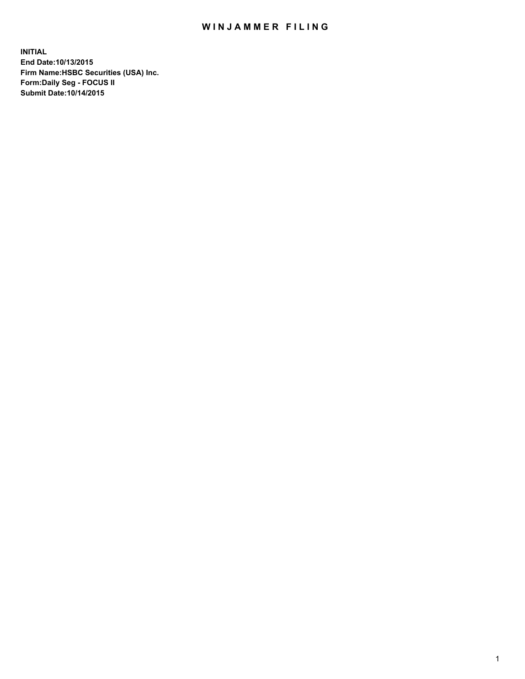## WIN JAMMER FILING

**INITIAL End Date:10/13/2015 Firm Name:HSBC Securities (USA) Inc. Form:Daily Seg - FOCUS II Submit Date:10/14/2015**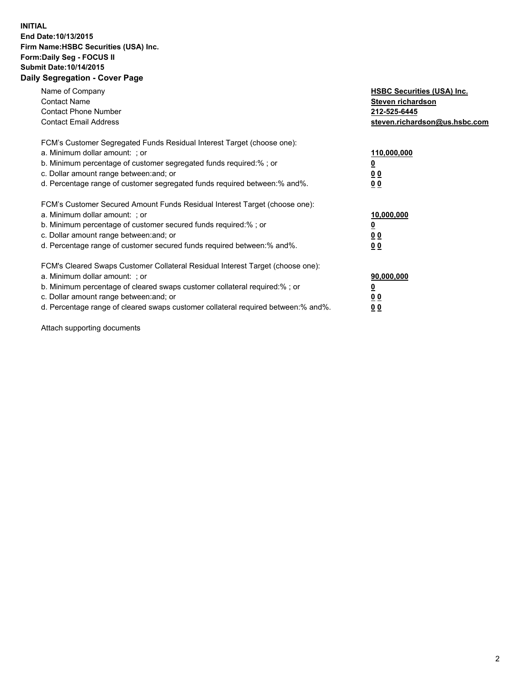## **INITIAL End Date:10/13/2015 Firm Name:HSBC Securities (USA) Inc. Form:Daily Seg - FOCUS II Submit Date:10/14/2015 Daily Segregation - Cover Page**

| Name of Company<br><b>Contact Name</b><br><b>Contact Phone Number</b><br><b>Contact Email Address</b>                                                                                                                                                                                                                         | <b>HSBC Securities (USA) Inc.</b><br>Steven richardson<br>212-525-6445<br>steven.richardson@us.hsbc.com |
|-------------------------------------------------------------------------------------------------------------------------------------------------------------------------------------------------------------------------------------------------------------------------------------------------------------------------------|---------------------------------------------------------------------------------------------------------|
| FCM's Customer Segregated Funds Residual Interest Target (choose one):<br>a. Minimum dollar amount: ; or<br>b. Minimum percentage of customer segregated funds required:%; or<br>c. Dollar amount range between: and; or<br>d. Percentage range of customer segregated funds required between:% and%.                         | 110,000,000<br><u>0</u><br>0 <sub>0</sub><br>0 <sub>0</sub>                                             |
| FCM's Customer Secured Amount Funds Residual Interest Target (choose one):<br>a. Minimum dollar amount: ; or<br>b. Minimum percentage of customer secured funds required:%; or<br>c. Dollar amount range between: and; or<br>d. Percentage range of customer secured funds required between:% and%.                           | 10,000,000<br><u>0</u><br>0 <sub>0</sub><br>0 <sub>0</sub>                                              |
| FCM's Cleared Swaps Customer Collateral Residual Interest Target (choose one):<br>a. Minimum dollar amount: ; or<br>b. Minimum percentage of cleared swaps customer collateral required:%; or<br>c. Dollar amount range between: and; or<br>d. Percentage range of cleared swaps customer collateral required between:% and%. | 90,000,000<br><u>0</u><br>0 <sub>0</sub><br>0 <sub>0</sub>                                              |

Attach supporting documents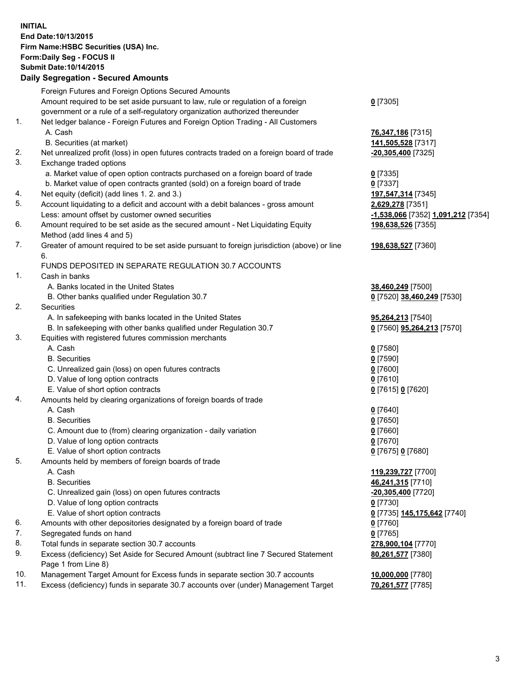**INITIAL End Date:10/13/2015 Firm Name:HSBC Securities (USA) Inc. Form:Daily Seg - FOCUS II Submit Date:10/14/2015 Daily Segregation - Secured Amounts**

## Foreign Futures and Foreign Options Secured Amounts Amount required to be set aside pursuant to law, rule or regulation of a foreign government or a rule of a self-regulatory organization authorized thereunder 1. Net ledger balance - Foreign Futures and Foreign Option Trading - All Customers A. Cash **76,347,186** [7315] B. Securities (at market) **141,505,528** [7317] 2. Net unrealized profit (loss) in open futures contracts traded on a foreign board of trade **-20,305,400** [7325] 3. Exchange traded options a. Market value of open option contracts purchased on a foreign board of trade **0** [7335]

- b. Market value of open contracts granted (sold) on a foreign board of trade **0** [7337]
- 4. Net equity (deficit) (add lines 1. 2. and 3.) **197,547,314** [7345]
- 5. Account liquidating to a deficit and account with a debit balances gross amount **2,629,278** [7351] Less: amount offset by customer owned securities **-1,538,066** [7352] **1,091,212** [7354]
- 6. Amount required to be set aside as the secured amount Net Liquidating Equity Method (add lines 4 and 5)
- 7. Greater of amount required to be set aside pursuant to foreign jurisdiction (above) or line 6.

## FUNDS DEPOSITED IN SEPARATE REGULATION 30.7 ACCOUNTS

- 1. Cash in banks
	- A. Banks located in the United States **38,460,249** [7500]
	- B. Other banks qualified under Regulation 30.7 **0** [7520] **38,460,249** [7530]
- 2. Securities
	- A. In safekeeping with banks located in the United States **95,264,213** [7540]
	- B. In safekeeping with other banks qualified under Regulation 30.7 **0** [7560] **95,264,213** [7570]
- 3. Equities with registered futures commission merchants
	-
	-
	- C. Unrealized gain (loss) on open futures contracts **0** [7600]
	- D. Value of long option contracts **0** [7610]
	- E. Value of short option contracts **0** [7615] **0** [7620]
- 4. Amounts held by clearing organizations of foreign boards of trade
	-
	-
	- C. Amount due to (from) clearing organization daily variation **0** [7660]
	- D. Value of long option contracts **0** [7670]
	- E. Value of short option contracts **0** [7675] **0** [7680]
- 5. Amounts held by members of foreign boards of trade
	-
	-
	- C. Unrealized gain (loss) on open futures contracts **-20,305,400** [7720]
	- D. Value of long option contracts **0** [7730]
	- E. Value of short option contracts **0** [7735] **145,175,642** [7740]
- 6. Amounts with other depositories designated by a foreign board of trade **0** [7760]
- 7. Segregated funds on hand **0** [7765]
- 8. Total funds in separate section 30.7 accounts **278,900,104** [7770]
- 9. Excess (deficiency) Set Aside for Secured Amount (subtract line 7 Secured Statement Page 1 from Line 8)
- 10. Management Target Amount for Excess funds in separate section 30.7 accounts **10,000,000** [7780]
- 11. Excess (deficiency) funds in separate 30.7 accounts over (under) Management Target **70,261,577** [7785]

**0** [7305]

**198,638,526** [7355] **198,638,527** [7360] A. Cash **0** [7580] B. Securities **0** [7590] A. Cash **0** [7640] B. Securities **0** [7650]

 A. Cash **119,239,727** [7700] B. Securities **46,241,315** [7710] **80,261,577** [7380]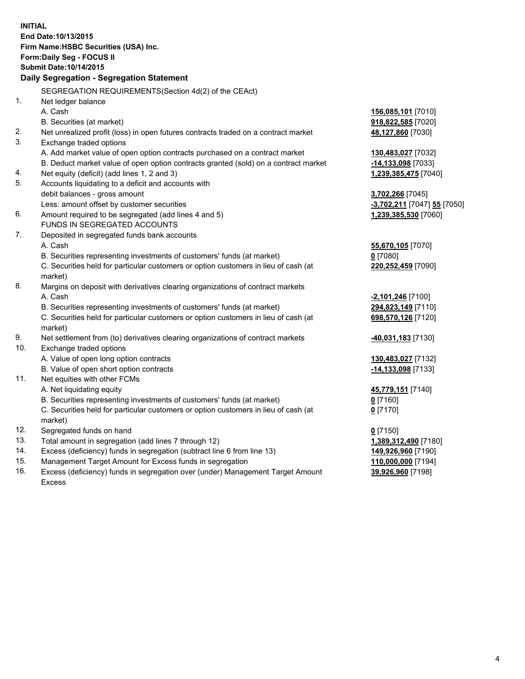|     | <b>INITIAL</b><br>End Date: 10/13/2015<br>Firm Name: HSBC Securities (USA) Inc.<br>Form: Daily Seg - FOCUS II<br><b>Submit Date: 10/14/2015</b><br>Daily Segregation - Segregation Statement |                             |
|-----|----------------------------------------------------------------------------------------------------------------------------------------------------------------------------------------------|-----------------------------|
|     | SEGREGATION REQUIREMENTS(Section 4d(2) of the CEAct)                                                                                                                                         |                             |
| 1.  | Net ledger balance                                                                                                                                                                           |                             |
|     | A. Cash                                                                                                                                                                                      | 156,085,101 [7010]          |
|     | B. Securities (at market)                                                                                                                                                                    | 918,822,585 [7020]          |
| 2.  | Net unrealized profit (loss) in open futures contracts traded on a contract market                                                                                                           | 48,127,860 [7030]           |
| 3.  | Exchange traded options                                                                                                                                                                      |                             |
|     | A. Add market value of open option contracts purchased on a contract market                                                                                                                  | 130,483,027 [7032]          |
|     | B. Deduct market value of open option contracts granted (sold) on a contract market                                                                                                          | -14,133,098 [7033]          |
| 4.  | Net equity (deficit) (add lines 1, 2 and 3)                                                                                                                                                  | 1,239,385,475 [7040]        |
| 5.  | Accounts liquidating to a deficit and accounts with                                                                                                                                          |                             |
|     | debit balances - gross amount                                                                                                                                                                | 3,702,266 [7045]            |
|     | Less: amount offset by customer securities                                                                                                                                                   | -3,702,211 [7047] 55 [7050] |
| 6.  | Amount required to be segregated (add lines 4 and 5)                                                                                                                                         | 1,239,385,530 [7060]        |
|     | FUNDS IN SEGREGATED ACCOUNTS                                                                                                                                                                 |                             |
| 7.  | Deposited in segregated funds bank accounts                                                                                                                                                  |                             |
|     | A. Cash                                                                                                                                                                                      | 55,670,105 [7070]           |
|     | B. Securities representing investments of customers' funds (at market)                                                                                                                       | $0$ [7080]                  |
|     | C. Securities held for particular customers or option customers in lieu of cash (at<br>market)                                                                                               | 220,252,459 [7090]          |
| 8.  | Margins on deposit with derivatives clearing organizations of contract markets                                                                                                               |                             |
|     | A. Cash                                                                                                                                                                                      | $-2,101,246$ [7100]         |
|     | B. Securities representing investments of customers' funds (at market)                                                                                                                       | 294,823,149 [7110]          |
|     | C. Securities held for particular customers or option customers in lieu of cash (at<br>market)                                                                                               | 698,570,126 [7120]          |
| 9.  | Net settlement from (to) derivatives clearing organizations of contract markets                                                                                                              | 40,031,183 [7130]           |
| 10. | Exchange traded options                                                                                                                                                                      |                             |
|     | A. Value of open long option contracts                                                                                                                                                       | 130,483,027 [7132]          |
|     | B. Value of open short option contracts                                                                                                                                                      | -14,133,098 [7133]          |
| 11. | Net equities with other FCMs                                                                                                                                                                 |                             |
|     | A. Net liquidating equity                                                                                                                                                                    | 45,779,151 [7140]           |
|     | B. Securities representing investments of customers' funds (at market)                                                                                                                       | $0$ [7160]                  |
|     | C. Securities held for particular customers or option customers in lieu of cash (at<br>market)                                                                                               | $0$ [7170]                  |
| 12. | Segregated funds on hand                                                                                                                                                                     | $0$ [7150]                  |
| 13. | Total amount in segregation (add lines 7 through 12)                                                                                                                                         | 1,389,312,490 [7180]        |
| 14. | Excess (deficiency) funds in segregation (subtract line 6 from line 13)                                                                                                                      | 149,926,960 [7190]          |
| 15. | Management Target Amount for Excess funds in segregation                                                                                                                                     | 110,000,000 [7194]          |
| 16. | Excess (deficiency) funds in segregation over (under) Management Target Amount                                                                                                               | 39,926,960 [7198]           |
|     | <b>Excess</b>                                                                                                                                                                                |                             |